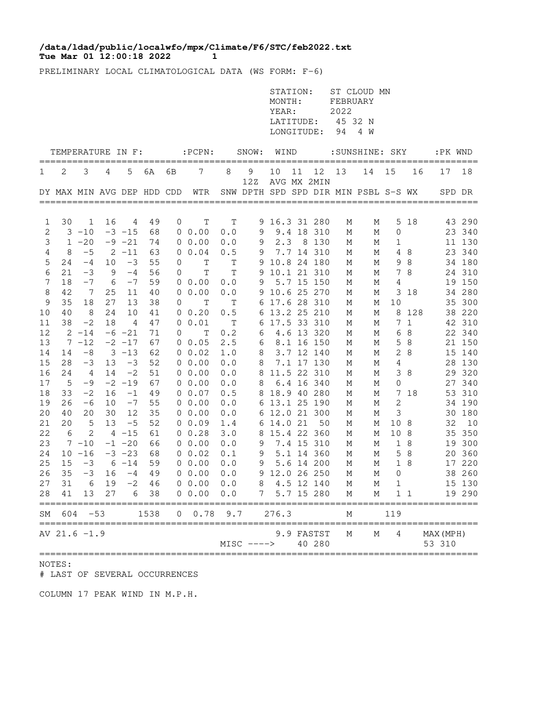## **Tue Mar 01 12:00:18 2022 1 /data/ldad/public/localwfo/mpx/Climate/F6/STC/feb2022.txt**

PRELIMINARY LOCAL CLIMATOLOGICAL DATA (WS FORM: F-6)

|          |                            |                    |    |               |          |          |                                                     |                     |                                      | STATION:<br>MONTH:<br>YEAR:<br>LATITUDE:<br>LONGITUDE: |    |                      | FEBRUARY<br>2022<br>45 32 N<br>94 | ST CLOUD MN<br>4 W          |                |          |                        |                  |
|----------|----------------------------|--------------------|----|---------------|----------|----------|-----------------------------------------------------|---------------------|--------------------------------------|--------------------------------------------------------|----|----------------------|-----------------------------------|-----------------------------|----------------|----------|------------------------|------------------|
|          |                            |                    |    |               |          |          | TEMPERATURE IN F: :PCPN:                            |                     | SNOW: WIND                           |                                                        |    |                      |                                   |                             |                |          | :SUNSHINE: SKY :PK WND |                  |
| 1        | 2                          | 3                  | 4  | 5             | 6A       | 6В       | 7                                                   | 8                   | 9<br>12Z                             | 10                                                     | 11 | 12<br>AVG MX 2MIN    | 13                                | 14                          | 15             | 16       | 17                     | 18               |
|          | DY MAX MIN AVG DEP HDD CDD |                    |    |               |          |          | WTR                                                 |                     | SNW DPTH SPD SPD DIR MIN PSBL S-S WX |                                                        |    |                      |                                   |                             |                |          | SPD DR                 |                  |
|          |                            |                    |    |               |          |          |                                                     |                     |                                      |                                                        |    |                      |                                   |                             |                |          |                        |                  |
| 1        | 30                         | 1                  | 16 | 4             | 49       | 0        | T                                                   | T                   |                                      | 9 16.3 31 280                                          |    |                      | М                                 | М                           |                | 5 18     |                        | 43 290           |
| 2        |                            | $3 - 10$           |    | $-3 - 15$     | 68       |          | $0\;\;0.00$                                         | 0.0                 | 9                                    |                                                        |    | 9.4 18 310           | М                                 | М                           | $\mathbf{0}$   |          |                        | 23 340           |
| 3        | $\mathbf{1}$               | $-20$              |    | $-9 -21$      | 74       |          | $0\;\;0.00$                                         | 0.0                 | 9                                    | 2.3                                                    |    | 8 1 3 0              | М                                 | М                           | 1              |          |                        | 11 130           |
| 4        | 8                          | $-5$               |    | $2 - 11$      | 63       |          | $0 \t 0.04$                                         | 0.5                 | 9                                    |                                                        |    | 7.7 14 310           | М                                 | М                           |                | 4 8      |                        | 23 340           |
| 5        | 24                         | $-4$               | 10 | $-3$          | 55       | 0        | T                                                   | T                   |                                      | 9 10.8 24 180                                          |    |                      | М                                 | М                           |                | 98       |                        | 34 180           |
| 6        | 21                         | $-3$               | 9  | $-4$          | 56       | $\Omega$ | $\mathbf T$                                         | $\mathbf T$         | 9                                    | 10.1 21 310                                            |    |                      | М                                 | М                           |                | 7 8      |                        | 24 310           |
| 7        | 18                         | $-7$               | 6  | $-7$          | 59       |          | $0\;\;0.00$                                         | 0.0                 | 9                                    |                                                        |    | 5.7 15 150           | М                                 | М                           | 4              |          |                        | 19 150           |
| 8        | 42                         | 7                  | 25 | 11            | 40       |          | $0\;\;0.00$                                         | 0.0                 |                                      | 9 10.6 25 270                                          |    |                      | М                                 | М                           |                | 3 18     |                        | 34 280           |
| 9        | 35                         | 18                 | 27 | 13            | 38       | 0        | $\mathbf T$                                         | T                   |                                      | 6 17.6 28 310                                          |    |                      | М                                 | М                           | 10             |          |                        | 35 300           |
| 10       | 40                         | - 8                | 24 | 10            | 41       |          | $0\;\;0.20$                                         | 0.5                 | 6                                    | 13.2 25 210                                            |    |                      | М                                 | М                           | 8              | 128      |                        | 38 220           |
| 11<br>12 | 38                         | $-2$<br>$2 - 14$   | 18 | 4<br>$-6 -21$ | 47<br>71 | 0        | 0 0.01<br>T                                         | $\mathbf{T}$<br>0.2 | 6<br>6                               | 17.5 33 310                                            |    | 4.6 13 320           | М<br>М                            | М<br>М                      | 6              | 7 1<br>8 |                        | 42 310<br>22 340 |
| 13       |                            | $7 - 12$           |    | $-2$ $-17$    | 67       |          | $0\;\;0.05$                                         | 2.5                 | 6                                    |                                                        |    | 8.1 16 150           | М                                 | М                           | 5              | - 8      |                        | 21 150           |
| 14       | 14                         | $-8$               |    | $3 - 13$      | 62       |          | $0\;\;0.02$                                         | 1.0                 | 8                                    |                                                        |    | 3.7 12 140           | М                                 | М                           |                | 2 8      |                        | 15 140           |
| 15       | 28                         | $-3$               | 13 | $-3$          | 52       |          | $0\;\;0.00$                                         | 0.0                 | 8                                    |                                                        |    | 7.1 17 130           | М                                 | М                           | 4              |          |                        | 28 130           |
| 16       | 24                         | -4                 | 14 | $-2$          | 51       |          | $0\;\;0.00$                                         | 0.0                 |                                      | 8 11.5 22 310                                          |    |                      | М                                 | М                           |                | 38       |                        | 29 320           |
| 17       | 5                          | -9                 |    | $-2 - 19$     | 67       |          | $0\;\;0.00$                                         | 0.0                 | 8                                    |                                                        |    | 6.4 16 340           | М                                 | М                           | 0              |          |                        | 27 340           |
| 18       | 33                         | $-2$               | 16 | $-1$          | 49       |          | $0\;\;0.07$                                         | 0.5                 |                                      | 8 18.9 40 280                                          |    |                      | М                                 | М                           |                | 7 18     |                        | 53 310           |
| 19       | 26                         | -6                 | 10 | $-7$          | 55       |          | $0\;\;0.00$                                         | 0.0                 |                                      | 6 13.1 25 190                                          |    |                      | М                                 | М                           | $\overline{c}$ |          |                        | 34 190           |
| 20       | 40                         | 20                 | 30 | 12            | 35       |          | $0\;\;0.00$                                         | 0.0                 |                                      | 6 12.0 21 300                                          |    |                      | М                                 | М                           | 3              |          |                        | 30 180           |
| 21       | 20                         | -5                 | 13 | $-5$          | 52       |          | 00.09                                               | 1.4                 |                                      | 6 14.0 21                                              |    | 50                   | М                                 | М                           | 10 8           |          | 32                     | 10               |
| 22       | 6                          | 2                  |    | $4 - 15$      | 61       |          | $0 \t 0.28$                                         | 3.0                 |                                      | 8 15.4 22 360                                          |    |                      | М                                 | М                           | 10             | - 8      |                        | 35 350           |
| 23       |                            | $7 - 10$           |    | $-1 -20$      | 66       |          | $0\;\;0.00$                                         | 0.0                 | 9                                    |                                                        |    | 7.4 15 310           | М                                 | М                           |                | 1 8      |                        | 19 300           |
| 24       |                            | $10 - 16$          |    | $-3 -23$      | 68       |          | $0\;\;0.02$                                         | 0.1                 | 9                                    |                                                        |    | 5.1 14 360           | М                                 | М                           | 5              | - 8      |                        | 20 360           |
| 25       | 15                         | $-3$               |    | $6 - 14$      | 59       |          | $0\;\;0.00$                                         | 0.0                 | 9                                    |                                                        |    | 5.6 14 200           | М                                 | М                           |                | 1 8      |                        | 17 220           |
| 26       | 35                         | $-3$               | 16 | $-4$          | 49       |          | $0\;\;0.00$                                         | 0.0                 |                                      | 9 12.0 26 250                                          |    |                      | М                                 | М                           | $\mathbf{0}$   |          |                        | 38 260           |
| 27       | 31                         | - 6                | 19 | $-2$          | 46       |          | $0\;\;0.00$                                         | 0.0                 | 8                                    |                                                        |    | 4.5 12 140           | М                                 | М                           | 1              |          |                        | 15 130           |
| 28       | 41                         | 13                 | 27 | 6             | 38       |          | $0\;\;0.00$<br>==================================== | 0.0                 | 7                                    | ================                                       |    | 5.7 15 280           | М                                 | М                           |                | 11       |                        | 19 290           |
| SM       | 604                        | $-53$<br>:======== |    |               | 1538     |          | $0 \t 0.78$                                         | 9.7                 |                                      | 276.3                                                  |    |                      | М                                 | ;========================== | 119            |          |                        |                  |
|          | AV 21.6 -1.9               |                    |    |               |          |          |                                                     |                     | $MISC$ $---$                         |                                                        |    | 9.9 FASTST<br>40 280 | М                                 | М                           | 4              |          | MAX (MPH)<br>53 310    |                  |

NOTES:

# LAST OF SEVERAL OCCURRENCES

COLUMN 17 PEAK WIND IN M.P.H.